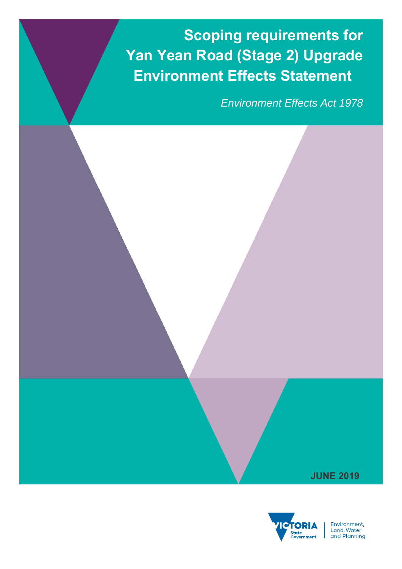**Scoping requirements for Yan Yean Road (Stage 2) Upgrade Environment Effects Statement**

*Environment Effects Act 1978*





Environment, Livitonnent,<br>Land, Water<br>and Planning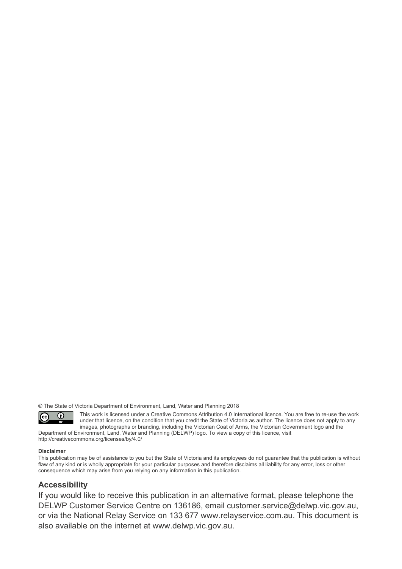© The State of Victoria Department of Environment, Land, Water and Planning 2018



This work is licensed under a Creative Commons Attribution 4.0 International licence. You are free to re-use the work under that licence, on the condition that you credit the State of Victoria as author. The licence does not apply to any images, photographs or branding, including the Victorian Coat of Arms, the Victorian Government logo and the

Department of Environment, Land, Water and Planning (DELWP) logo. To view a copy of this licence, visit http://creativecommons.org/licenses/by/4.0/

#### **Disclaimer**

This publication may be of assistance to you but the State of Victoria and its employees do not guarantee that the publication is without flaw of any kind or is wholly appropriate for your particular purposes and therefore disclaims all liability for any error, loss or other consequence which may arise from you relying on any information in this publication.

# **Accessibility**

If you would like to receive this publication in an alternative format, please telephone the DELWP Customer Service Centre on 136186, email customer.service@delwp.vic.gov.au, or via the National Relay Service on 133 677 www.relayservice.com.au. This document is also available on the internet at www.delwp.vic.gov.au.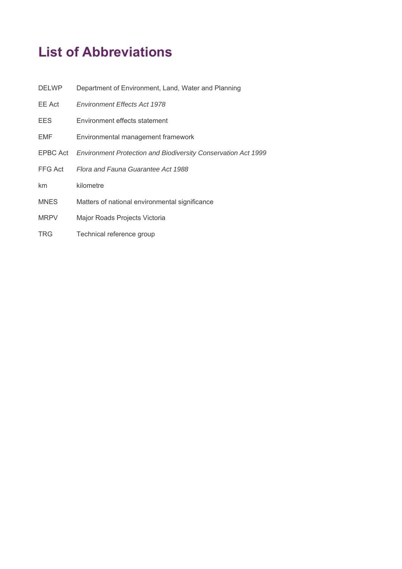# **List of Abbreviations**

| <b>DELWP</b> | Department of Environment, Land, Water and Planning                    |
|--------------|------------------------------------------------------------------------|
| EE Act       | <b>Environment Effects Act 1978</b>                                    |
| <b>EES</b>   | Environment effects statement                                          |
| EMF          | Environmental management framework                                     |
|              | EPBC Act Environment Protection and Biodiversity Conservation Act 1999 |
| FFG Act      | Flora and Fauna Guarantee Act 1988                                     |
| km           | kilometre                                                              |
| <b>MNES</b>  | Matters of national environmental significance                         |
| <b>MRPV</b>  | Major Roads Projects Victoria                                          |
| <b>TRG</b>   | Technical reference group                                              |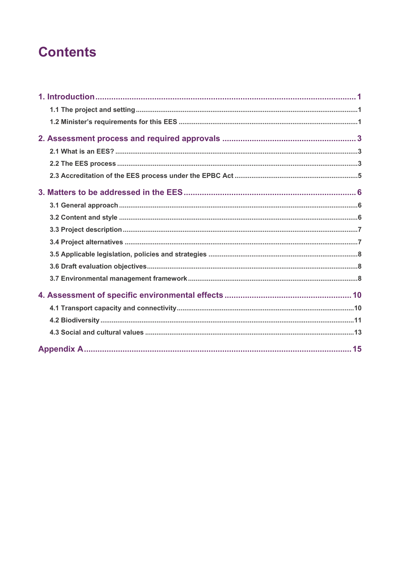# **Contents**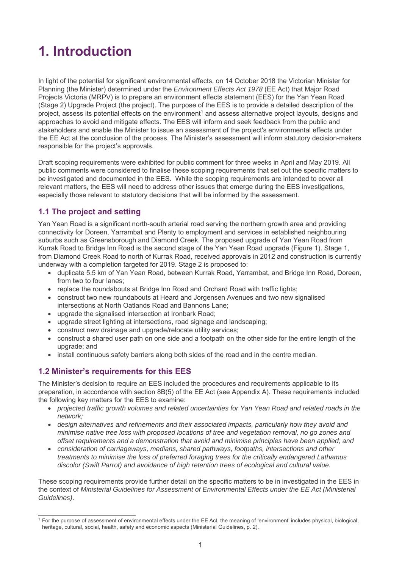# **1. Introduction**

In light of the potential for significant environmental effects, on 14 October 2018 the Victorian Minister for Planning (the Minister) determined under the *Environment Effects Act 1978* (EE Act) that Major Road Projects Victoria (MRPV) is to prepare an environment effects statement (EES) for the Yan Yean Road (Stage 2) Upgrade Project (the project). The purpose of the EES is to provide a detailed description of the project, assess its potential effects on the environment<sup>1</sup> and assess alternative project layouts, designs and approaches to avoid and mitigate effects. The EES will inform and seek feedback from the public and stakeholders and enable the Minister to issue an assessment of the project's environmental effects under the EE Act at the conclusion of the process. The Minister's assessment will inform statutory decision-makers responsible for the project's approvals.

Draft scoping requirements were exhibited for public comment for three weeks in April and May 2019. All public comments were considered to finalise these scoping requirements that set out the specific matters to be investigated and documented in the EES. While the scoping requirements are intended to cover all relevant matters, the EES will need to address other issues that emerge during the EES investigations, especially those relevant to statutory decisions that will be informed by the assessment.

# **1.1 The project and setting**

Yan Yean Road is a significant north-south arterial road serving the northern growth area and providing connectivity for Doreen, Yarrambat and Plenty to employment and services in established neighbouring suburbs such as Greensborough and Diamond Creek. The proposed upgrade of Yan Yean Road from Kurrak Road to Bridge Inn Road is the second stage of the Yan Yean Road upgrade (Figure 1). Stage 1, from Diamond Creek Road to north of Kurrak Road, received approvals in 2012 and construction is currently underway with a completion targeted for 2019. Stage 2 is proposed to:

- duplicate 5.5 km of Yan Yean Road, between Kurrak Road, Yarrambat, and Bridge Inn Road, Doreen, from two to four lanes;
- replace the roundabouts at Bridge Inn Road and Orchard Road with traffic lights;
- construct two new roundabouts at Heard and Jorgensen Avenues and two new signalised intersections at North Oatlands Road and Bannons Lane;
- upgrade the signalised intersection at Ironbark Road;
- upgrade street lighting at intersections, road signage and landscaping;
- construct new drainage and upgrade/relocate utility services;
- construct a shared user path on one side and a footpath on the other side for the entire length of the upgrade; and
- install continuous safety barriers along both sides of the road and in the centre median.

# **1.2 Minister's requirements for this EES**

The Minister's decision to require an EES included the procedures and requirements applicable to its preparation, in accordance with section 8B(5) of the EE Act (see Appendix A). These requirements included the following key matters for the EES to examine:

- *projected traffic growth volumes and related uncertainties for Yan Yean Road and related roads in the network;*
- *design alternatives and refinements and their associated impacts, particularly how they avoid and minimise native tree loss with proposed locations of tree and vegetation removal, no go zones and offset requirements and a demonstration that avoid and minimise principles have been applied; and*
- *consideration of carriageways, medians, shared pathways, footpaths, intersections and other treatments to minimise the loss of preferred foraging trees for the critically endangered Lathamus discolor (Swift Parrot) and avoidance of high retention trees of ecological and cultural value.*

These scoping requirements provide further detail on the specific matters to be in investigated in the EES in the context of *Ministerial Guidelines for Assessment of Environmental Effects under the EE Act (Ministerial Guidelines)*.

 <sup>1</sup> For the purpose of assessment of environmental effects under the EE Act, the meaning of 'environment' includes physical, biological, heritage, cultural, social, health, safety and economic aspects (Ministerial Guidelines, p. 2).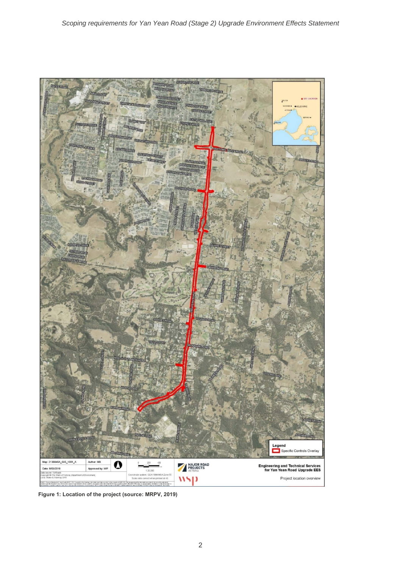

**Figure 1: Location of the project (source: MRPV, 2019)**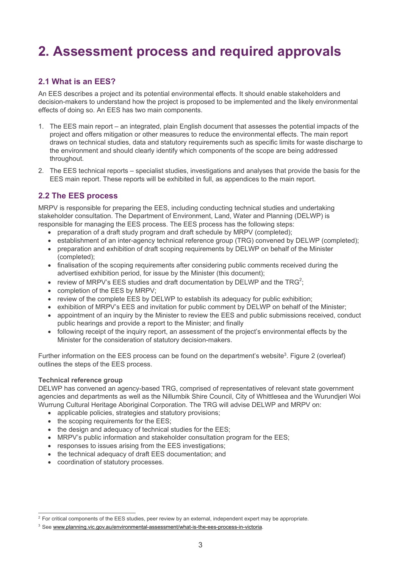# **2. Assessment process and required approvals**

# **2.1 What is an EES?**

An EES describes a project and its potential environmental effects. It should enable stakeholders and decision-makers to understand how the project is proposed to be implemented and the likely environmental effects of doing so. An EES has two main components.

- 1. The EES main report an integrated, plain English document that assesses the potential impacts of the project and offers mitigation or other measures to reduce the environmental effects. The main report draws on technical studies, data and statutory requirements such as specific limits for waste discharge to the environment and should clearly identify which components of the scope are being addressed throughout.
- 2. The EES technical reports specialist studies, investigations and analyses that provide the basis for the EES main report. These reports will be exhibited in full, as appendices to the main report.

# **2.2 The EES process**

MRPV is responsible for preparing the EES, including conducting technical studies and undertaking stakeholder consultation. The Department of Environment, Land, Water and Planning (DELWP) is responsible for managing the EES process. The EES process has the following steps:

- preparation of a draft study program and draft schedule by MRPV (completed);
- establishment of an inter-agency technical reference group (TRG) convened by DELWP (completed);
- preparation and exhibition of draft scoping requirements by DELWP on behalf of the Minister (completed);
- finalisation of the scoping requirements after considering public comments received during the advertised exhibition period, for issue by the Minister (this document);
- review of MRPV's EES studies and draft documentation by DELWP and the TRG<sup>2</sup>;
- completion of the EES by MRPV:
- review of the complete EES by DELWP to establish its adequacy for public exhibition;
- exhibition of MRPV's EES and invitation for public comment by DELWP on behalf of the Minister;
- appointment of an inquiry by the Minister to review the EES and public submissions received, conduct public hearings and provide a report to the Minister; and finally
- following receipt of the inquiry report, an assessment of the project's environmental effects by the Minister for the consideration of statutory decision-makers.

Further information on the EES process can be found on the department's website<sup>3</sup>. Figure 2 (overleaf) outlines the steps of the EES process.

## **Technical reference group**

DELWP has convened an agency-based TRG, comprised of representatives of relevant state government agencies and departments as well as the Nillumbik Shire Council, City of Whittlesea and the Wurundjeri Woi Wurrung Cultural Heritage Aboriginal Corporation. The TRG will advise DELWP and MRPV on:

- applicable policies, strategies and statutory provisions;
- the scoping requirements for the EES:
- the design and adequacy of technical studies for the EES;
- MRPV's public information and stakeholder consultation program for the EES;
- responses to issues arising from the EES investigations;
- the technical adequacy of draft EES documentation; and
- coordination of statutory processes.

 <sup>2</sup> For critical components of the EES studies, peer review by an external, independent expert may be appropriate.

<sup>3</sup> See www.planning.vic.gov.au/environmental-assessment/what-is-the-ees-process-in-victoria.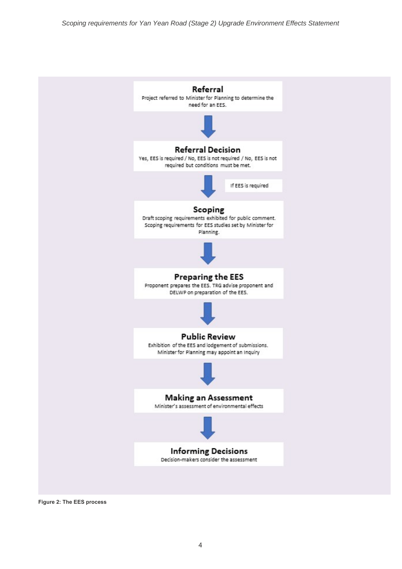

**Figure 2: The EES process**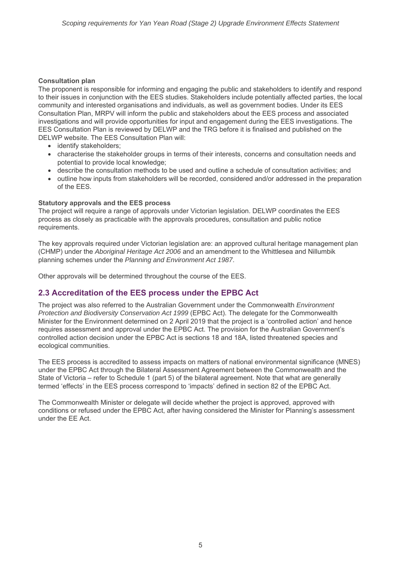## **Consultation plan**

The proponent is responsible for informing and engaging the public and stakeholders to identify and respond to their issues in conjunction with the EES studies. Stakeholders include potentially affected parties, the local community and interested organisations and individuals, as well as government bodies. Under its EES Consultation Plan, MRPV will inform the public and stakeholders about the EES process and associated investigations and will provide opportunities for input and engagement during the EES investigations. The EES Consultation Plan is reviewed by DELWP and the TRG before it is finalised and published on the DELWP website. The EES Consultation Plan will:

- identify stakeholders:
- characterise the stakeholder groups in terms of their interests, concerns and consultation needs and potential to provide local knowledge;
- describe the consultation methods to be used and outline a schedule of consultation activities; and
- outline how inputs from stakeholders will be recorded, considered and/or addressed in the preparation of the EES.

## **Statutory approvals and the EES process**

The project will require a range of approvals under Victorian legislation. DELWP coordinates the EES process as closely as practicable with the approvals procedures, consultation and public notice requirements.

The key approvals required under Victorian legislation are: an approved cultural heritage management plan (CHMP) under the *Aboriginal Heritage Act 2006* and an amendment to the Whittlesea and Nillumbik planning schemes under the *Planning and Environment Act 1987*.

Other approvals will be determined throughout the course of the EES.

# **2.3 Accreditation of the EES process under the EPBC Act**

The project was also referred to the Australian Government under the Commonwealth *Environment Protection and Biodiversity Conservation Act 1999* (EPBC Act). The delegate for the Commonwealth Minister for the Environment determined on 2 April 2019 that the project is a 'controlled action' and hence requires assessment and approval under the EPBC Act. The provision for the Australian Government's controlled action decision under the EPBC Act is sections 18 and 18A, listed threatened species and ecological communities.

The EES process is accredited to assess impacts on matters of national environmental significance (MNES) under the EPBC Act through the Bilateral Assessment Agreement between the Commonwealth and the State of Victoria – refer to Schedule 1 (part 5) of the bilateral agreement. Note that what are generally termed 'effects' in the EES process correspond to 'impacts' defined in section 82 of the EPBC Act.

The Commonwealth Minister or delegate will decide whether the project is approved, approved with conditions or refused under the EPBC Act, after having considered the Minister for Planning's assessment under the EE Act.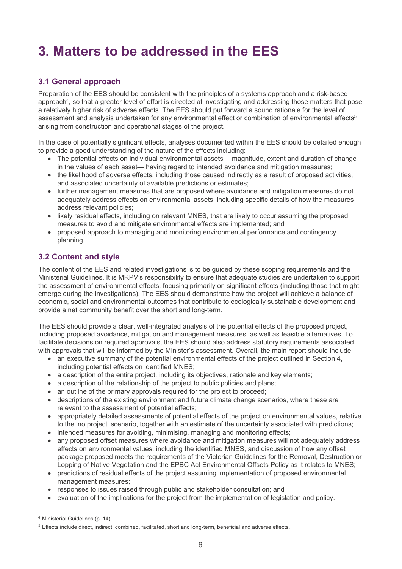# **3. Matters to be addressed in the EES**

# **3.1 General approach**

Preparation of the EES should be consistent with the principles of a systems approach and a risk-based approach<sup>4</sup>, so that a greater level of effort is directed at investigating and addressing those matters that pose a relatively higher risk of adverse effects. The EES should put forward a sound rationale for the level of assessment and analysis undertaken for any environmental effect or combination of environmental effects<sup>5</sup> arising from construction and operational stages of the project.

In the case of potentially significant effects, analyses documented within the EES should be detailed enough to provide a good understanding of the nature of the effects including:

- The potential effects on individual environmental assets —magnitude, extent and duration of change in the values of each asset— having regard to intended avoidance and mitigation measures;
- the likelihood of adverse effects, including those caused indirectly as a result of proposed activities, and associated uncertainty of available predictions or estimates;
- further management measures that are proposed where avoidance and mitigation measures do not adequately address effects on environmental assets, including specific details of how the measures address relevant policies;
- likely residual effects, including on relevant MNES, that are likely to occur assuming the proposed measures to avoid and mitigate environmental effects are implemented; and
- proposed approach to managing and monitoring environmental performance and contingency planning.

# **3.2 Content and style**

The content of the EES and related investigations is to be guided by these scoping requirements and the Ministerial Guidelines. It is MRPV's responsibility to ensure that adequate studies are undertaken to support the assessment of environmental effects, focusing primarily on significant effects (including those that might emerge during the investigations). The EES should demonstrate how the project will achieve a balance of economic, social and environmental outcomes that contribute to ecologically sustainable development and provide a net community benefit over the short and long-term.

The EES should provide a clear, well-integrated analysis of the potential effects of the proposed project, including proposed avoidance, mitigation and management measures, as well as feasible alternatives. To facilitate decisions on required approvals, the EES should also address statutory requirements associated with approvals that will be informed by the Minister's assessment. Overall, the main report should include:

- an executive summary of the potential environmental effects of the project outlined in Section 4, including potential effects on identified MNES;
- a description of the entire project, including its objectives, rationale and key elements;
- a description of the relationship of the project to public policies and plans;
- an outline of the primary approvals required for the project to proceed;
- descriptions of the existing environment and future climate change scenarios, where these are relevant to the assessment of potential effects;
- appropriately detailed assessments of potential effects of the project on environmental values, relative to the 'no project' scenario, together with an estimate of the uncertainty associated with predictions;
- intended measures for avoiding, minimising, managing and monitoring effects;
- any proposed offset measures where avoidance and mitigation measures will not adequately address effects on environmental values, including the identified MNES, and discussion of how any offset package proposed meets the requirements of the Victorian Guidelines for the Removal, Destruction or Lopping of Native Vegetation and the EPBC Act Environmental Offsets Policy as it relates to MNES;
- predictions of residual effects of the project assuming implementation of proposed environmental management measures;
- responses to issues raised through public and stakeholder consultation; and
- evaluation of the implications for the project from the implementation of legislation and policy.

 <sup>4</sup> Ministerial Guidelines (p. 14).

<sup>5</sup> Effects include direct, indirect, combined, facilitated, short and long-term, beneficial and adverse effects.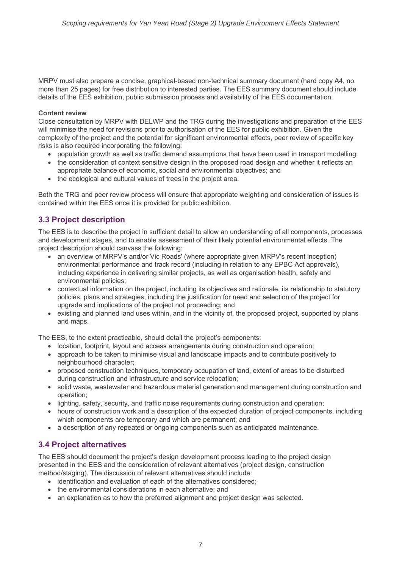MRPV must also prepare a concise, graphical-based non-technical summary document (hard copy A4, no more than 25 pages) for free distribution to interested parties. The EES summary document should include details of the EES exhibition, public submission process and availability of the EES documentation.

## **Content review**

Close consultation by MRPV with DELWP and the TRG during the investigations and preparation of the EES will minimise the need for revisions prior to authorisation of the EES for public exhibition. Given the complexity of the project and the potential for significant environmental effects, peer review of specific key risks is also required incorporating the following:

- population growth as well as traffic demand assumptions that have been used in transport modelling;
- the consideration of context sensitive design in the proposed road design and whether it reflects an appropriate balance of economic, social and environmental objectives; and
- the ecological and cultural values of trees in the project area.

Both the TRG and peer review process will ensure that appropriate weighting and consideration of issues is contained within the EES once it is provided for public exhibition.

# **3.3 Project description**

The EES is to describe the project in sufficient detail to allow an understanding of all components, processes and development stages, and to enable assessment of their likely potential environmental effects. The project description should canvass the following:

- an overview of MRPV's and/or Vic Roads' (where appropriate given MRPV's recent inception) environmental performance and track record (including in relation to any EPBC Act approvals), including experience in delivering similar projects, as well as organisation health, safety and environmental policies;
- contextual information on the project, including its objectives and rationale, its relationship to statutory policies, plans and strategies, including the justification for need and selection of the project for upgrade and implications of the project not proceeding; and
- existing and planned land uses within, and in the vicinity of, the proposed project, supported by plans and maps.

The EES, to the extent practicable, should detail the project's components:

- location, footprint, layout and access arrangements during construction and operation;
- approach to be taken to minimise visual and landscape impacts and to contribute positively to neighbourhood character;
- proposed construction techniques, temporary occupation of land, extent of areas to be disturbed during construction and infrastructure and service relocation;
- solid waste, wastewater and hazardous material generation and management during construction and operation;
- lighting, safety, security, and traffic noise requirements during construction and operation;
- hours of construction work and a description of the expected duration of project components, including which components are temporary and which are permanent; and
- a description of any repeated or ongoing components such as anticipated maintenance.

# **3.4 Project alternatives**

The EES should document the project's design development process leading to the project design presented in the EES and the consideration of relevant alternatives (project design, construction method/staging). The discussion of relevant alternatives should include:

- identification and evaluation of each of the alternatives considered;
- the environmental considerations in each alternative: and
- an explanation as to how the preferred alignment and project design was selected.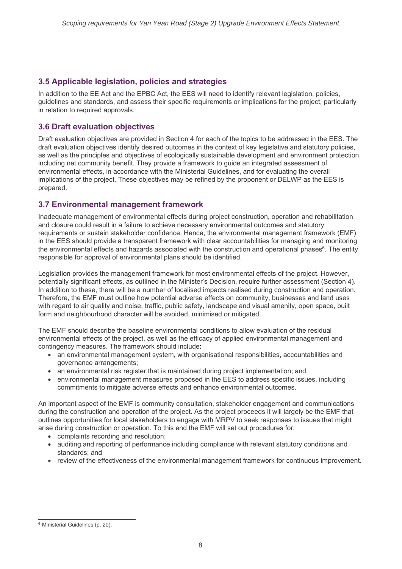# **3.5 Applicable legislation, policies and strategies**

In addition to the EE Act and the EPBC Act, the EES will need to identify relevant legislation, policies, guidelines and standards, and assess their specific requirements or implications for the project, particularly in relation to required approvals.

# **3.6 Draft evaluation objectives**

Draft evaluation objectives are provided in Section 4 for each of the topics to be addressed in the EES. The draft evaluation objectives identify desired outcomes in the context of key legislative and statutory policies, as well as the principles and objectives of ecologically sustainable development and environment protection, including net community benefit. They provide a framework to guide an integrated assessment of environmental effects, in accordance with the Ministerial Guidelines, and for evaluating the overall implications of the project. These objectives may be refined by the proponent or DELWP as the EES is prepared.

# **3.7 Environmental management framework**

Inadequate management of environmental effects during project construction, operation and rehabilitation and closure could result in a failure to achieve necessary environmental outcomes and statutory requirements or sustain stakeholder confidence. Hence, the environmental management framework (EMF) in the EES should provide a transparent framework with clear accountabilities for managing and monitoring the environmental effects and hazards associated with the construction and operational phases<sup>6</sup>. The entity responsible for approval of environmental plans should be identified.

Legislation provides the management framework for most environmental effects of the project. However, potentially significant effects, as outlined in the Minister's Decision, require further assessment (Section 4). In addition to these, there will be a number of localised impacts realised during construction and operation. Therefore, the EMF must outline how potential adverse effects on community, businesses and land uses with regard to air quality and noise, traffic, public safety, landscape and visual amenity, open space, built form and neighbourhood character will be avoided, minimised or mitigated.

The EMF should describe the baseline environmental conditions to allow evaluation of the residual environmental effects of the project, as well as the efficacy of applied environmental management and contingency measures. The framework should include:

- an environmental management system, with organisational responsibilities, accountabilities and governance arrangements;
- an environmental risk register that is maintained during project implementation; and
- environmental management measures proposed in the EES to address specific issues, including commitments to mitigate adverse effects and enhance environmental outcomes.

An important aspect of the EMF is community consultation, stakeholder engagement and communications during the construction and operation of the project. As the project proceeds it will largely be the EMF that outlines opportunities for local stakeholders to engage with MRPV to seek responses to issues that might arise during construction or operation. To this end the EMF will set out procedures for:

- complaints recording and resolution;
- auditing and reporting of performance including compliance with relevant statutory conditions and standards; and
- review of the effectiveness of the environmental management framework for continuous improvement.

 <sup>6</sup> Ministerial Guidelines (p. 20).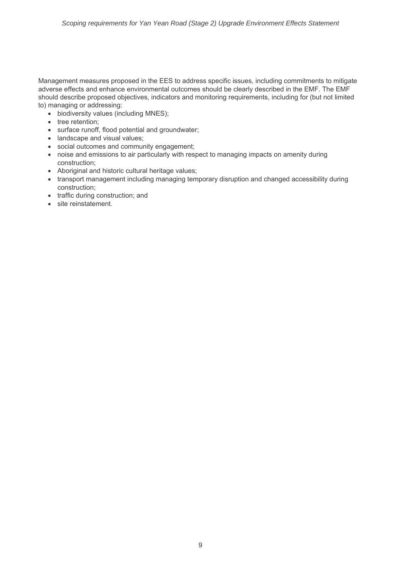Management measures proposed in the EES to address specific issues, including commitments to mitigate adverse effects and enhance environmental outcomes should be clearly described in the EMF. The EMF should describe proposed objectives, indicators and monitoring requirements, including for (but not limited to) managing or addressing:

- biodiversity values (including MNES);
- tree retention;
- surface runoff, flood potential and groundwater;
- landscape and visual values:
- social outcomes and community engagement;
- noise and emissions to air particularly with respect to managing impacts on amenity during construction;
- Aboriginal and historic cultural heritage values;
- transport management including managing temporary disruption and changed accessibility during construction;
- traffic during construction; and
- site reinstatement.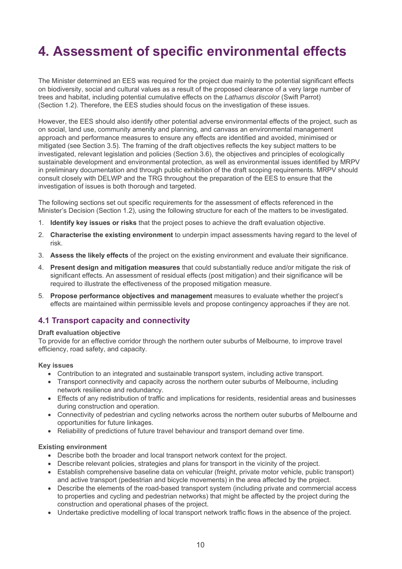# **4. Assessment of specific environmental effects**

The Minister determined an EES was required for the project due mainly to the potential significant effects on biodiversity, social and cultural values as a result of the proposed clearance of a very large number of trees and habitat, including potential cumulative effects on the *Lathamus discolor* (Swift Parrot) (Section 1.2). Therefore, the EES studies should focus on the investigation of these issues.

However, the EES should also identify other potential adverse environmental effects of the project, such as on social, land use, community amenity and planning, and canvass an environmental management approach and performance measures to ensure any effects are identified and avoided, minimised or mitigated (see Section 3.5). The framing of the draft objectives reflects the key subject matters to be investigated, relevant legislation and policies (Section 3.6), the objectives and principles of ecologically sustainable development and environmental protection, as well as environmental issues identified by MRPV in preliminary documentation and through public exhibition of the draft scoping requirements. MRPV should consult closely with DELWP and the TRG throughout the preparation of the EES to ensure that the investigation of issues is both thorough and targeted.

The following sections set out specific requirements for the assessment of effects referenced in the Minister's Decision (Section 1.2), using the following structure for each of the matters to be investigated.

- 1. **Identify key issues or risks** that the project poses to achieve the draft evaluation objective.
- 2. **Characterise the existing environment** to underpin impact assessments having regard to the level of risk.
- 3. **Assess the likely effects** of the project on the existing environment and evaluate their significance.
- 4. **Present design and mitigation measures** that could substantially reduce and/or mitigate the risk of significant effects. An assessment of residual effects (post mitigation) and their significance will be required to illustrate the effectiveness of the proposed mitigation measure.
- 5. **Propose performance objectives and management** measures to evaluate whether the project's effects are maintained within permissible levels and propose contingency approaches if they are not.

## **4.1 Transport capacity and connectivity**

#### **Draft evaluation objective**

To provide for an effective corridor through the northern outer suburbs of Melbourne, to improve travel efficiency, road safety, and capacity.

#### **Key issues**

- Contribution to an integrated and sustainable transport system, including active transport.
- Transport connectivity and capacity across the northern outer suburbs of Melbourne, including network resilience and redundancy.
- Effects of any redistribution of traffic and implications for residents, residential areas and businesses during construction and operation.
- Connectivity of pedestrian and cycling networks across the northern outer suburbs of Melbourne and opportunities for future linkages.
- Reliability of predictions of future travel behaviour and transport demand over time.

## **Existing environment**

- Describe both the broader and local transport network context for the project.
- Describe relevant policies, strategies and plans for transport in the vicinity of the project.
- Establish comprehensive baseline data on vehicular (freight, private motor vehicle, public transport) and active transport (pedestrian and bicycle movements) in the area affected by the project.
- Describe the elements of the road-based transport system (including private and commercial access to properties and cycling and pedestrian networks) that might be affected by the project during the construction and operational phases of the project.
- Undertake predictive modelling of local transport network traffic flows in the absence of the project.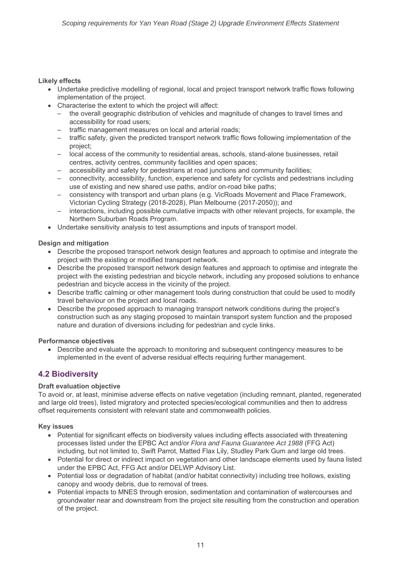## **Likely effects**

- Undertake predictive modelling of regional, local and project transport network traffic flows following implementation of the project.
- Characterise the extent to which the project will affect:
	- the overall geographic distribution of vehicles and magnitude of changes to travel times and accessibility for road users;
	- traffic management measures on local and arterial roads;
	- traffic safety, given the predicted transport network traffic flows following implementation of the project;
	- local access of the community to residential areas, schools, stand-alone businesses, retail centres, activity centres, community facilities and open spaces;
	- accessibility and safety for pedestrians at road junctions and community facilities;
	- connectivity, accessibility, function, experience and safety for cyclists and pedestrians including use of existing and new shared use paths, and/or on-road bike paths;
	- consistency with transport and urban plans (e.g. VicRoads Movement and Place Framework, Victorian Cycling Strategy (2018-2028), Plan Melbourne (2017-2050)); and
	- interactions, including possible cumulative impacts with other relevant projects, for example, the Northern Suburban Roads Program.
- Undertake sensitivity analysis to test assumptions and inputs of transport model.

## **Design and mitigation**

- Describe the proposed transport network design features and approach to optimise and integrate the project with the existing or modified transport network.
- Describe the proposed transport network design features and approach to optimise and integrate the project with the existing pedestrian and bicycle network, including any proposed solutions to enhance pedestrian and bicycle access in the vicinity of the project.
- Describe traffic calming or other management tools during construction that could be used to modify travel behaviour on the project and local roads.
- Describe the proposed approach to managing transport network conditions during the project's construction such as any staging proposed to maintain transport system function and the proposed nature and duration of diversions including for pedestrian and cycle links.

## **Performance objectives**

 Describe and evaluate the approach to monitoring and subsequent contingency measures to be implemented in the event of adverse residual effects requiring further management.

# **4.2 Biodiversity**

## **Draft evaluation objective**

To avoid or, at least, minimise adverse effects on native vegetation (including remnant, planted, regenerated and large old trees), listed migratory and protected species/ecological communities and then to address offset requirements consistent with relevant state and commonwealth policies.

## **Key issues**

- Potential for significant effects on biodiversity values including effects associated with threatening processes listed under the EPBC Act and/or *Flora and Fauna Guarantee Act 1988* (FFG Act) including, but not limited to, Swift Parrot, Matted Flax Lily, Studley Park Gum and large old trees.
- Potential for direct or indirect impact on vegetation and other landscape elements used by fauna listed under the EPBC Act, FFG Act and/or DELWP Advisory List.
- Potential loss or degradation of habitat (and/or habitat connectivity) including tree hollows, existing canopy and woody debris, due to removal of trees.
- Potential impacts to MNES through erosion, sedimentation and contamination of watercourses and groundwater near and downstream from the project site resulting from the construction and operation of the project.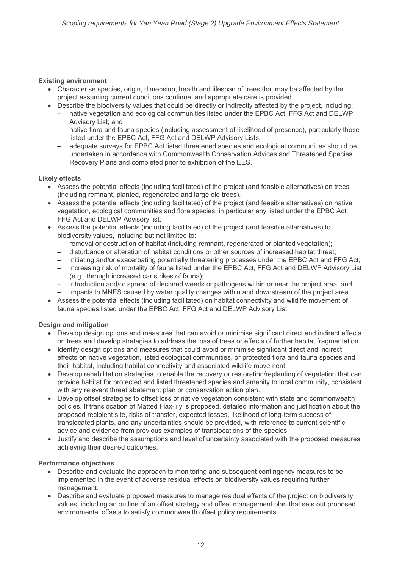## **Existing environment**

- Characterise species, origin, dimension, health and lifespan of trees that may be affected by the project assuming current conditions continue, and appropriate care is provided.
- Describe the biodiversity values that could be directly or indirectly affected by the project, including:
	- native vegetation and ecological communities listed under the EPBC Act, FFG Act and DELWP Advisory List; and
	- native flora and fauna species (including assessment of likelihood of presence), particularly those listed under the EPBC Act, FFG Act and DELWP Advisory Lists.
	- adequate surveys for EPBC Act listed threatened species and ecological communities should be undertaken in accordance with Commonwealth Conservation Advices and Threatened Species Recovery Plans and completed prior to exhibition of the EES.

## **Likely effects**

- Assess the potential effects (including facilitated) of the project (and feasible alternatives) on trees (including remnant, planted, regenerated and large old trees).
- Assess the potential effects (including facilitated) of the project (and feasible alternatives) on native vegetation, ecological communities and flora species, in particular any listed under the EPBC Act, FFG Act and DELWP Advisory list.
- Assess the potential effects (including facilitated) of the project (and feasible alternatives) to biodiversity values, including but not limited to:
	- removal or destruction of habitat (including remnant, regenerated or planted vegetation);
	- disturbance or alteration of habitat conditions or other sources of increased habitat threat;
	- initiating and/or exacerbating potentially threatening processes under the EPBC Act and FFG Act;
	- increasing risk of mortality of fauna listed under the EPBC Act, FFG Act and DELWP Advisory List (e.g., through increased car strikes of fauna);
	- introduction and/or spread of declared weeds or pathogens within or near the project area; and
	- impacts to MNES caused by water quality changes within and downstream of the project area.
- Assess the potential effects (including facilitated) on habitat connectivity and wildlife movement of fauna species listed under the EPBC Act, FFG Act and DELWP Advisory List.

## **Design and mitigation**

- Develop design options and measures that can avoid or minimise significant direct and indirect effects on trees and develop strategies to address the loss of trees or effects of further habitat fragmentation.
- Identify design options and measures that could avoid or minimise significant direct and indirect effects on native vegetation, listed ecological communities, or protected flora and fauna species and their habitat, including habitat connectivity and associated wildlife movement.
- Develop rehabilitation strategies to enable the recovery or restoration/replanting of vegetation that can provide habitat for protected and listed threatened species and amenity to local community, consistent with any relevant threat abatement plan or conservation action plan.
- Develop offset strategies to offset loss of native vegetation consistent with state and commonwealth policies. If translocation of Matted Flax-lily is proposed, detailed information and justification about the proposed recipient site, risks of transfer, expected losses, likelihood of long-term success of translocated plants, and any uncertainties should be provided, with reference to current scientific advice and evidence from previous examples of translocations of the species.
- Justify and describe the assumptions and level of uncertainty associated with the proposed measures achieving their desired outcomes.

## **Performance objectives**

- Describe and evaluate the approach to monitoring and subsequent contingency measures to be implemented in the event of adverse residual effects on biodiversity values requiring further management.
- Describe and evaluate proposed measures to manage residual effects of the project on biodiversity values, including an outline of an offset strategy and offset management plan that sets out proposed environmental offsets to satisfy commonwealth offset policy requirements.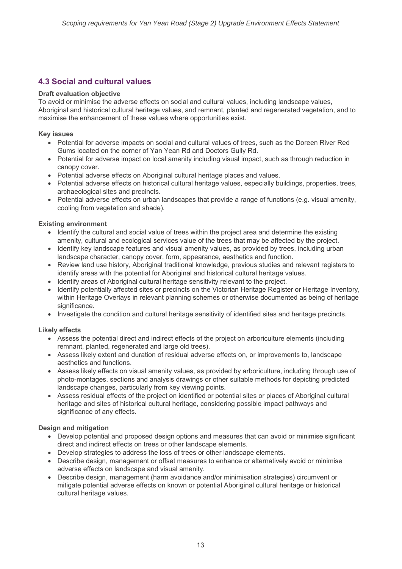# **4.3 Social and cultural values**

## **Draft evaluation objective**

To avoid or minimise the adverse effects on social and cultural values, including landscape values, Aboriginal and historical cultural heritage values, and remnant, planted and regenerated vegetation, and to maximise the enhancement of these values where opportunities exist.

## **Key issues**

- Potential for adverse impacts on social and cultural values of trees, such as the Doreen River Red Gums located on the corner of Yan Yean Rd and Doctors Gully Rd.
- Potential for adverse impact on local amenity including visual impact, such as through reduction in canopy cover.
- Potential adverse effects on Aboriginal cultural heritage places and values.
- Potential adverse effects on historical cultural heritage values, especially buildings, properties, trees, archaeological sites and precincts.
- Potential adverse effects on urban landscapes that provide a range of functions (e.g. visual amenity, cooling from vegetation and shade).

## **Existing environment**

- Identify the cultural and social value of trees within the project area and determine the existing amenity, cultural and ecological services value of the trees that may be affected by the project.
- Identify key landscape features and visual amenity values, as provided by trees, including urban landscape character, canopy cover, form, appearance, aesthetics and function.
- Review land use history, Aboriginal traditional knowledge, previous studies and relevant registers to identify areas with the potential for Aboriginal and historical cultural heritage values.
- Identify areas of Aboriginal cultural heritage sensitivity relevant to the project.
- Identify potentially affected sites or precincts on the Victorian Heritage Register or Heritage Inventory, within Heritage Overlays in relevant planning schemes or otherwise documented as being of heritage significance.
- Investigate the condition and cultural heritage sensitivity of identified sites and heritage precincts.

## **Likely effects**

- Assess the potential direct and indirect effects of the project on arboriculture elements (including remnant, planted, regenerated and large old trees).
- Assess likely extent and duration of residual adverse effects on, or improvements to, landscape aesthetics and functions.
- Assess likely effects on visual amenity values, as provided by arboriculture, including through use of photo-montages, sections and analysis drawings or other suitable methods for depicting predicted landscape changes, particularly from key viewing points.
- Assess residual effects of the project on identified or potential sites or places of Aboriginal cultural heritage and sites of historical cultural heritage, considering possible impact pathways and significance of any effects.

## **Design and mitigation**

- Develop potential and proposed design options and measures that can avoid or minimise significant direct and indirect effects on trees or other landscape elements.
- Develop strategies to address the loss of trees or other landscape elements.
- Describe design, management or offset measures to enhance or alternatively avoid or minimise adverse effects on landscape and visual amenity.
- Describe design, management (harm avoidance and/or minimisation strategies) circumvent or mitigate potential adverse effects on known or potential Aboriginal cultural heritage or historical cultural heritage values.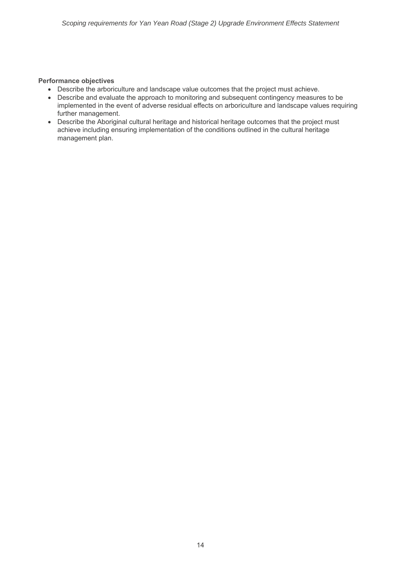## **Performance objectives**

- Describe the arboriculture and landscape value outcomes that the project must achieve.
- Describe and evaluate the approach to monitoring and subsequent contingency measures to be implemented in the event of adverse residual effects on arboriculture and landscape values requiring further management.
- Describe the Aboriginal cultural heritage and historical heritage outcomes that the project must achieve including ensuring implementation of the conditions outlined in the cultural heritage management plan.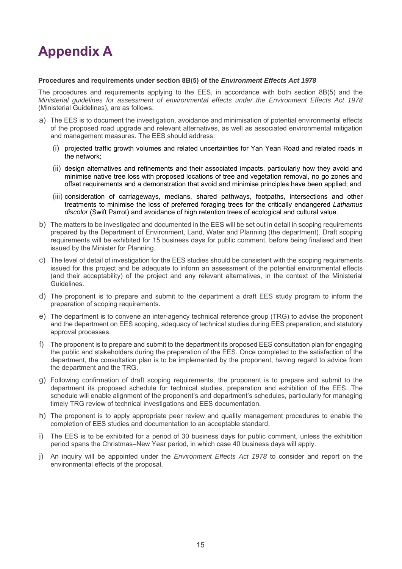# **Appendix A**

#### **Procedures and requirements under section 8B(5) of the** *Environment Effects Act 1978*

The procedures and requirements applying to the EES, in accordance with both section 8B(5) and the *Ministerial guidelines for assessment of environmental effects under the Environment Effects Act 1978* (Ministerial Guidelines), are as follows.

- a) The EES is to document the investigation, avoidance and minimisation of potential environmental effects of the proposed road upgrade and relevant alternatives, as well as associated environmental mitigation and management measures. The EES should address:
	- (i) projected traffic growth volumes and related uncertainties for Yan Yean Road and related roads in the network;
	- (ii) design alternatives and refinements and their associated impacts, particularly how they avoid and minimise native tree loss with proposed locations of tree and vegetation removal, no go zones and offset requirements and a demonstration that avoid and minimise principles have been applied; and
	- (iii) consideration of carriageways, medians, shared pathways, footpaths, intersections and other treatments to minimise the loss of preferred foraging trees for the critically endangered *Lathamus discolor* (Swift Parrot) and avoidance of high retention trees of ecological and cultural value.
- b) The matters to be investigated and documented in the EES will be set out in detail in scoping requirements prepared by the Department of Environment, Land, Water and Planning (the department). Draft scoping requirements will be exhibited for 15 business days for public comment, before being finalised and then issued by the Minister for Planning.
- c) The level of detail of investigation for the EES studies should be consistent with the scoping requirements issued for this project and be adequate to inform an assessment of the potential environmental effects (and their acceptability) of the project and any relevant alternatives, in the context of the Ministerial Guidelines.
- d) The proponent is to prepare and submit to the department a draft EES study program to inform the preparation of scoping requirements.
- e) The department is to convene an inter-agency technical reference group (TRG) to advise the proponent and the department on EES scoping, adequacy of technical studies during EES preparation, and statutory approval processes.
- f) The proponent is to prepare and submit to the department its proposed EES consultation plan for engaging the public and stakeholders during the preparation of the EES. Once completed to the satisfaction of the department, the consultation plan is to be implemented by the proponent, having regard to advice from the department and the TRG.
- g) Following confirmation of draft scoping requirements, the proponent is to prepare and submit to the department its proposed schedule for technical studies, preparation and exhibition of the EES. The schedule will enable alignment of the proponent's and department's schedules, particularly for managing timely TRG review of technical investigations and EES documentation.
- h) The proponent is to apply appropriate peer review and quality management procedures to enable the completion of EES studies and documentation to an acceptable standard.
- i) The EES is to be exhibited for a period of 30 business days for public comment, unless the exhibition period spans the Christmas–New Year period, in which case 40 business days will apply.
- j) An inquiry will be appointed under the *Environment Effects Act 1978* to consider and report on the environmental effects of the proposal.